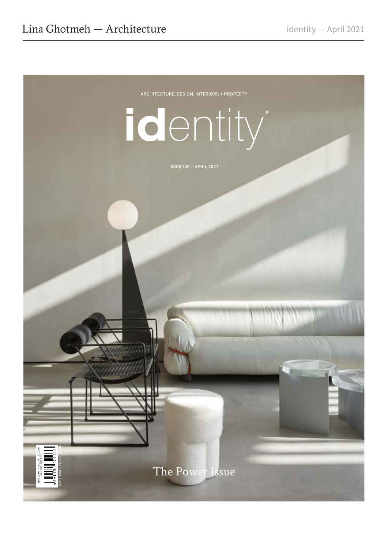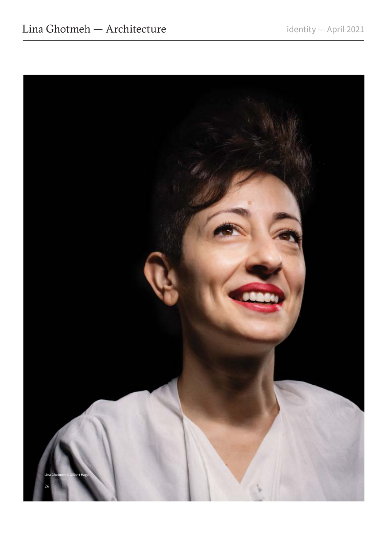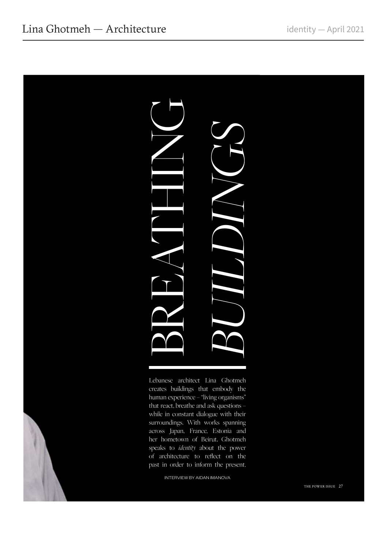

Lebanese architect Lina Ghotmeh creates buildings that embody the human experience – "living organisms" that react, breathe and ask questions – while in constant dialogue with their surroundings. With works spanning across Japan, France, Estonia and her hometown of Beirut, Ghotmeh speaks to *identity* about the power of architecture to reflect on the

INTERVIEW BY AIDAN IMANOVA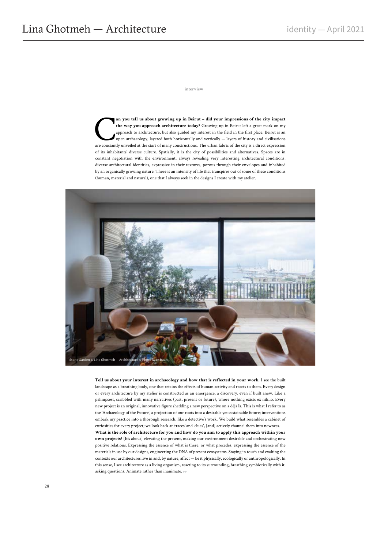interview

**an you tell us about growing up in Beirut – did your impressions of the city impact the way you approach architecture today?** Growing up in Beirut left a great mark on my approach to architecture, but also guided my inter **the way you approach architecture today?** Growing up in Beirut left a great mark on my approach to architecture, but also guided my interest in the field in the first place. Beirut is an open archaeology, layered both horizontally and vertically — layers of history and civilisations are constantly unveiled at the start of many constructions. The urban fabric of the city is a direct expression of its inhabitants' diverse culture. Spatially, it is the city of possibilities and alternatives. Spaces are in constant negotiation with the environment, always revealing very interesting architectural conditions; diverse architectural identities, expressive in their textures, porous through their envelopes and inhabited by an organically growing nature. There is an intensity of life that transpires out of some of these conditions (human, material and natural), one that I always seek in the designs I create with my atelier.



**Tell us about your interest in archaeology and how that is reflected in your work.** I see the built landscape as a breathing body, one that retains the effects of human activity and reacts to them. Every design or every architecture by my atelier is constructed as an emergence, a discovery, even if built anew. Like a palimpsest, scribbled with many narratives (past, present or future), where nothing exists ex nihilo. Every new project is an original, innovative figure shedding a new perspective on a déjà là. This is what I refer to as the 'Archaeology of the Future', a projection of our roots into a desirable yet sustainable future; interventions embark my practice into a thorough research, like a detective's work. We build what resembles a cabinet of curiosities for every project; we look back at 'traces' and 'clues', [and] actively channel them into newness. **What is the role of architecture for you and how do you aim to apply this approach within your** 

**own projects?** [It's about] elevating the present, making our environment desirable and orchestrating new positive relations. Expressing the essence of what is there, or what precedes, expressing the essence of the materials in use by our designs, engineering the DNA of present ecosystems. Staying in touch and exalting the contexts our architectures live in and, by nature, affect — be it physically, ecologically or anthropologically. In this sense, I see architecture as a living organism, reacting to its surrounding, breathing symbiotically with it, asking questions. Animate rather than inanimate.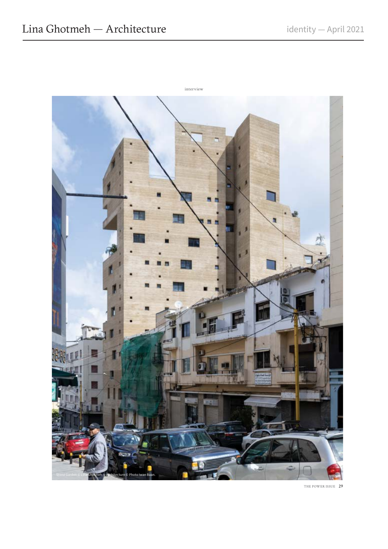

THE POWER ISSUE 29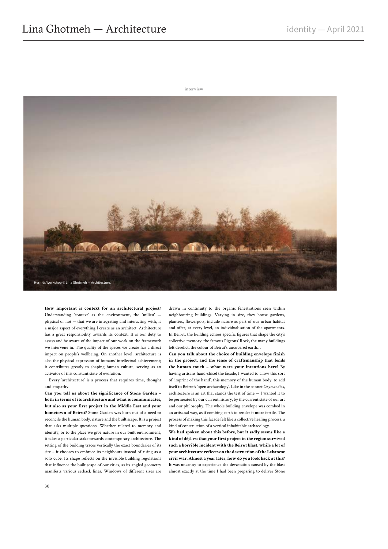

**How important is context for an architectural project?** Understanding 'context' as the environment, the 'milieu' physical or not — that we are integrating and interacting with, is a major aspect of everything I create as an architect. Architecture has a great responsibility towards its context. It is our duty to assess and be aware of the impact of our work on the framework we intervene in. The quality of the spaces we create has a direct impact on people's wellbeing. On another level, architecture is also the physical expression of humans' intellectual achievement; it contributes greatly to shaping human culture, serving as an activator of this constant state of evolution.

Every 'architecture' is a process that requires time, thought and empathy.

**Can you tell us about the significance of Stone Garden – both in terms of its architecture and what is communicates, but also as your first project in the Middle East and your hometown of Beirut?** Stone Garden was born out of a need to reconcile the human body, nature and the built scape. It is a project that asks multiple questions. Whether related to memory and identity, or to the place we give nature in our built environment, it takes a particular stake towards contemporary architecture. The setting of the building traces vertically the exact boundaries of its site – it chooses to embrace its neighbours instead of rising as a solo cube. Its shape reflects on the invisible building regulations that influence the built scape of our cities, as its angled geometry manifests various setback lines. Windows of different sizes are

drawn in continuity to the organic fenestrations seen within neighbouring buildings. Varying in size, they house gardens, planters, flowerpots, include nature as part of our urban habitat and offer, at every level, an individualisation of the apartments. In Beirut, the building echoes specific figures that shape the city's collective memory: the famous Pigeons' Rock, the many buildings left derelict, the colour of Beirut's uncovered earth…

**Can you talk about the choice of building envelope finish in the project, and the sense of craftsmanship that lends the human touch – what were your intentions here?** By having artisans hand-chisel the façade, I wanted to allow this sort of 'imprint of the hand', this memory of the human body, to add itself to Beirut's 'open archaeology'. Like in the sonnet *Ozymandias*, architecture is an art that stands the test of time — I wanted it to be permeated by our current history, by the current state of our art and our philosophy. The whole building envelope was combed in an artisanal way, as if combing earth to render it more fertile. The process of making this façade felt like a collective healing process, a kind of construction of a vertical inhabitable archaeology.

**We had spoken about this before, but it sadly seems like a kind of déjà vu that your first project in the region survived such a horrible incident with the Beirut blast, while a lot of your architecture reflects on the destruction of the Lebanese civil war. Almost a year later, how do you look back at this?** It was uncanny to experience the devastation caused by the blast almost exactly at the time I had been preparing to deliver Stone